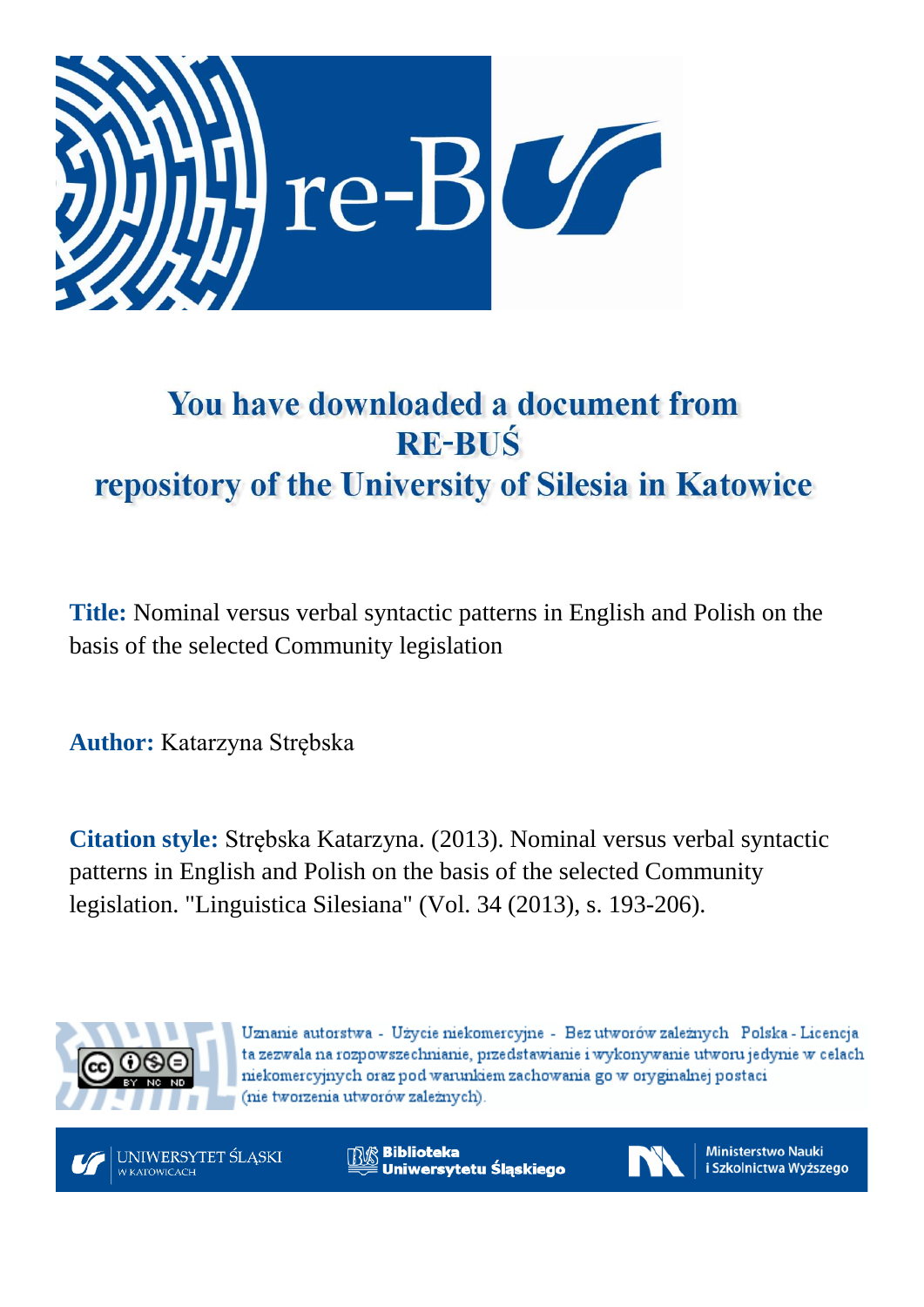

# You have downloaded a document from **RE-BUŚ** repository of the University of Silesia in Katowice

**Title:** Nominal versus verbal syntactic patterns in English and Polish on the basis of the selected Community legislation

**Author:** Katarzyna Strębska

**Citation style:** Strębska Katarzyna. (2013). Nominal versus verbal syntactic patterns in English and Polish on the basis of the selected Community legislation. "Linguistica Silesiana" (Vol. 34 (2013), s. 193-206).



Uznanie autorstwa - Użycie niekomercyjne - Bez utworów zależnych Polska - Licencja ta zezwala na rozpowszechnianie, przedstawianie i wykonywanie utworu jedynie w celach niekomercyjnych oraz pod warunkiem zachowania go w oryginalnej postaci (nie tworzenia utworów zależnych).



**Biblioteka** Uniwersytetu Śląskiego



**Ministerstwo Nauki** i Szkolnictwa Wyższego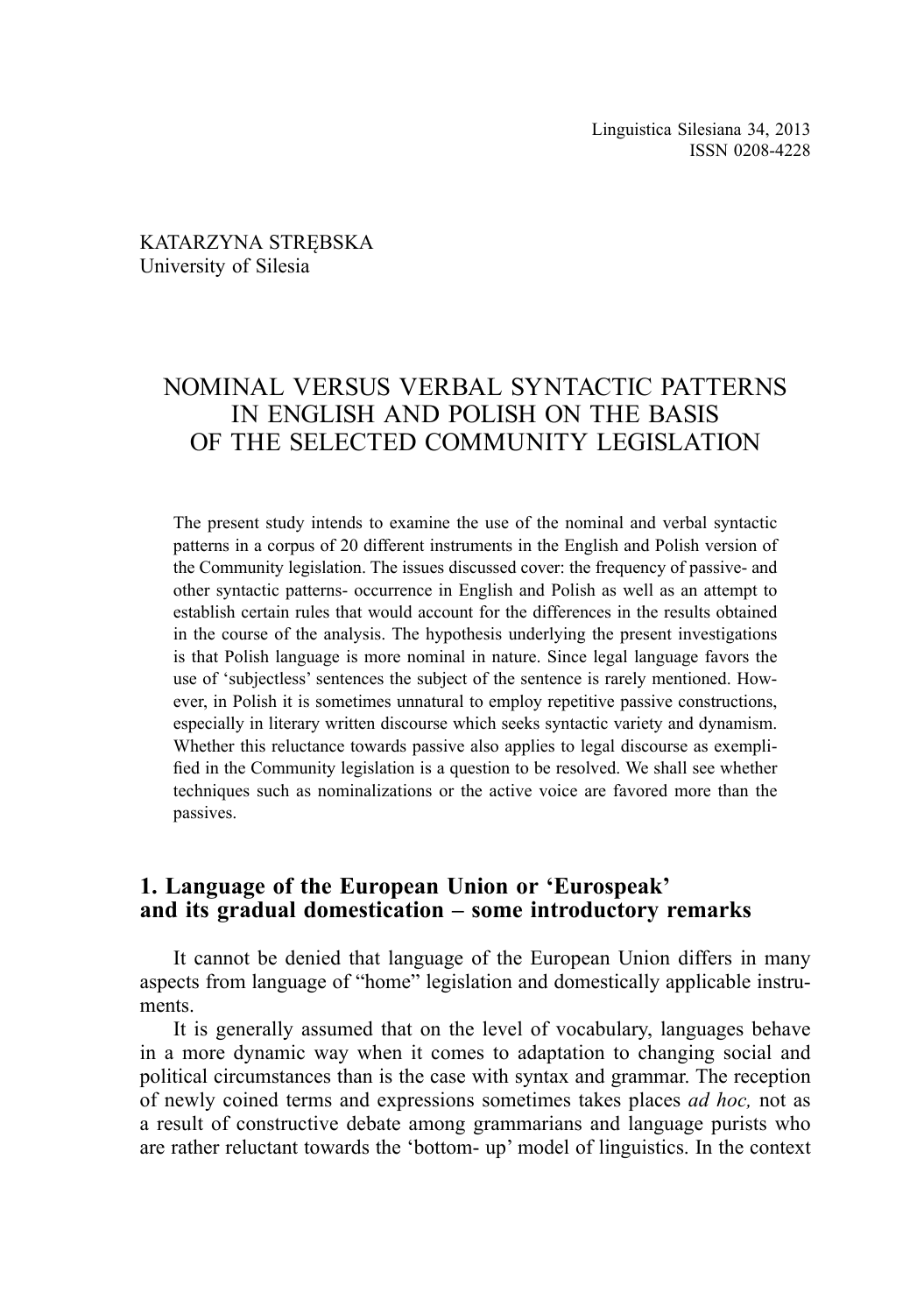#### KATARZYNA STRĘBSKA University of Silesia

# NOMINAL VERSUS VERBAL SYNTACTIC PATTERNS IN ENGLISH AND POLISH ON THE BASIS OF THE SELECTED COMMUNITY LEGISLATION

The present study intends to examine the use of the nominal and verbal syntactic patterns in a corpus of 20 different instruments in the English and Polish version of the Community legislation. The issues discussed cover: the frequency of passive- and other syntactic patterns- occurrence in English and Polish as well as an attempt to establish certain rules that would account for the differences in the results obtained in the course of the analysis. The hypothesis underlying the present investigations is that Polish language is more nominal in nature. Since legal language favors the use of 'subjectless' sentences the subject of the sentence is rarely mentioned. However, in Polish it is sometimes unnatural to employ repetitive passive constructions, especially in literary written discourse which seeks syntactic variety and dynamism. Whether this reluctance towards passive also applies to legal discourse as exemplified in the Community legislation is a question to be resolved. We shall see whether techniques such as nominalizations or the active voice are favored more than the passives.

# **1. Language of the European Union or 'Eurospeak' and its gradual domestication – some introductory remarks**

It cannot be denied that language of the European Union differs in many aspects from language of "home" legislation and domestically applicable instruments.

It is generally assumed that on the level of vocabulary, languages behave in a more dynamic way when it comes to adaptation to changing social and political circumstances than is the case with syntax and grammar. The reception of newly coined terms and expressions sometimes takes places *ad hoc,* not as a result of constructive debate among grammarians and language purists who are rather reluctant towards the 'bottom- up' model of linguistics. In the context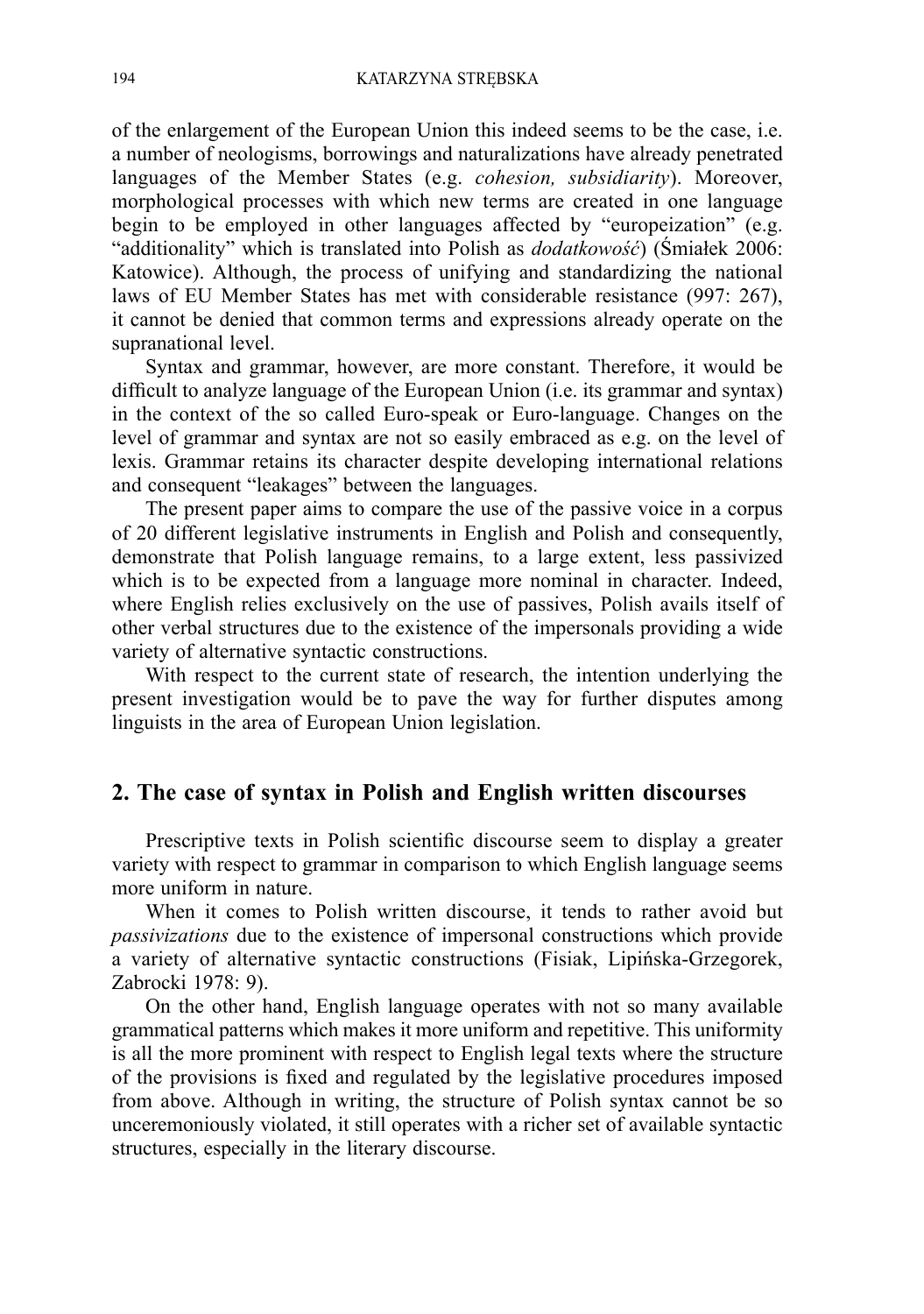of the enlargement of the European Union this indeed seems to be the case, i.e. a number of neologisms, borrowings and naturalizations have already penetrated languages of the Member States (e.g. *cohesion, subsidiarity*). Moreover, morphological processes with which new terms are created in one language begin to be employed in other languages affected by "europeization" (e.g. "additionality" which is translated into Polish as *dodatkowość*) (Śmiałek 2006: Katowice). Although, the process of unifying and standardizing the national laws of EU Member States has met with considerable resistance (997: 267), it cannot be denied that common terms and expressions already operate on the supranational level.

Syntax and grammar, however, are more constant. Therefore, it would be difficult to analyze language of the European Union (i.e. its grammar and syntax) in the context of the so called Euro-speak or Euro-language. Changes on the level of grammar and syntax are not so easily embraced as e.g. on the level of lexis. Grammar retains its character despite developing international relations and consequent "leakages" between the languages.

The present paper aims to compare the use of the passive voice in a corpus of 20 different legislative instruments in English and Polish and consequently, demonstrate that Polish language remains, to a large extent, less passivized which is to be expected from a language more nominal in character. Indeed, where English relies exclusively on the use of passives, Polish avails itself of other verbal structures due to the existence of the impersonals providing a wide variety of alternative syntactic constructions.

With respect to the current state of research, the intention underlying the present investigation would be to pave the way for further disputes among linguists in the area of European Union legislation.

#### **2. The case of syntax in Polish and English written discourses**

Prescriptive texts in Polish scientific discourse seem to display a greater variety with respect to grammar in comparison to which English language seems more uniform in nature.

When it comes to Polish written discourse, it tends to rather avoid but *passivizations* due to the existence of impersonal constructions which provide a variety of alternative syntactic constructions (Fisiak, Lipińska-Grzegorek, Zabrocki 1978: 9).

On the other hand, English language operates with not so many available grammatical patterns which makes it more uniform and repetitive. This uniformity is all the more prominent with respect to English legal texts where the structure of the provisions is fixed and regulated by the legislative procedures imposed from above. Although in writing, the structure of Polish syntax cannot be so unceremoniously violated, it still operates with a richer set of available syntactic structures, especially in the literary discourse.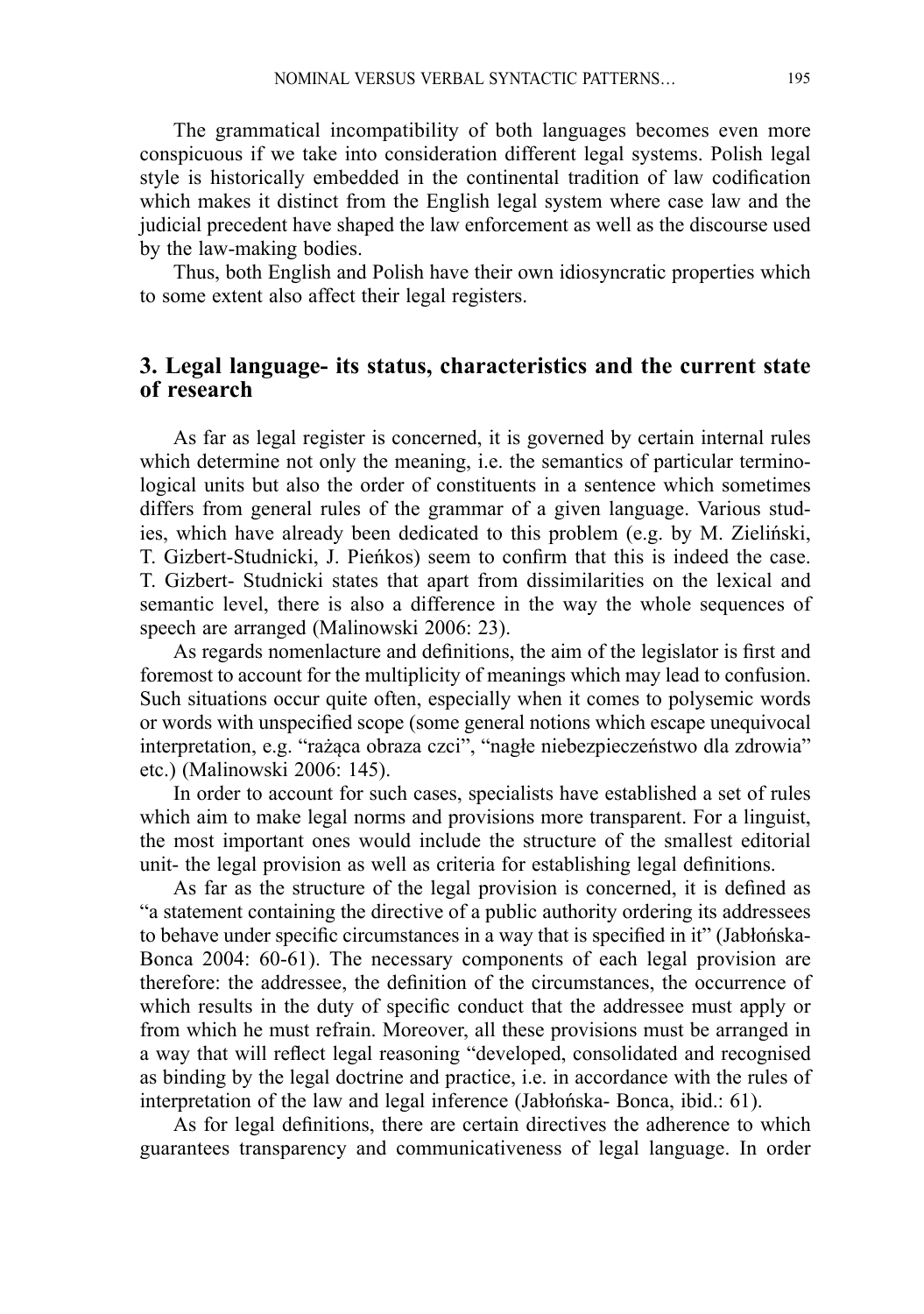The grammatical incompatibility of both languages becomes even more conspicuous if we take into consideration different legal systems. Polish legal style is historically embedded in the continental tradition of law codification which makes it distinct from the English legal system where case law and the judicial precedent have shaped the law enforcement as well as the discourse used by the law-making bodies.

Thus, both English and Polish have their own idiosyncratic properties which to some extent also affect their legal registers.

# **3. Legal language- its status, characteristics and the current state of research**

As far as legal register is concerned, it is governed by certain internal rules which determine not only the meaning, i.e. the semantics of particular terminological units but also the order of constituents in a sentence which sometimes differs from general rules of the grammar of a given language. Various studies, which have already been dedicated to this problem (e.g. by M. Zieliński, T. Gizbert-Studnicki, J. Pieńkos) seem to confirm that this is indeed the case. T. Gizbert- Studnicki states that apart from dissimilarities on the lexical and semantic level, there is also a difference in the way the whole sequences of speech are arranged (Malinowski 2006: 23).

As regards nomenlacture and definitions, the aim of the legislator is first and foremost to account for the multiplicity of meanings which may lead to confusion. Such situations occur quite often, especially when it comes to polysemic words or words with unspecified scope (some general notions which escape unequivocal interpretation, e.g. "rażąca obraza czci", "nagłe niebezpieczeństwo dla zdrowia" etc.) (Malinowski 2006: 145).

In order to account for such cases, specialists have established a set of rules which aim to make legal norms and provisions more transparent. For a linguist, the most important ones would include the structure of the smallest editorial unit- the legal provision as well as criteria for establishing legal definitions.

As far as the structure of the legal provision is concerned, it is defined as "a statement containing the directive of a public authority ordering its addressees to behave under specific circumstances in a way that is specified in it" (Jabłońska-Bonca 2004: 60-61). The necessary components of each legal provision are therefore: the addressee, the definition of the circumstances, the occurrence of which results in the duty of specific conduct that the addressee must apply or from which he must refrain. Moreover, all these provisions must be arranged in a way that will reflect legal reasoning "developed, consolidated and recognised as binding by the legal doctrine and practice, i.e. in accordance with the rules of interpretation of the law and legal inference (Jabłońska- Bonca, ibid.: 61).

As for legal definitions, there are certain directives the adherence to which guarantees transparency and communicativeness of legal language. In order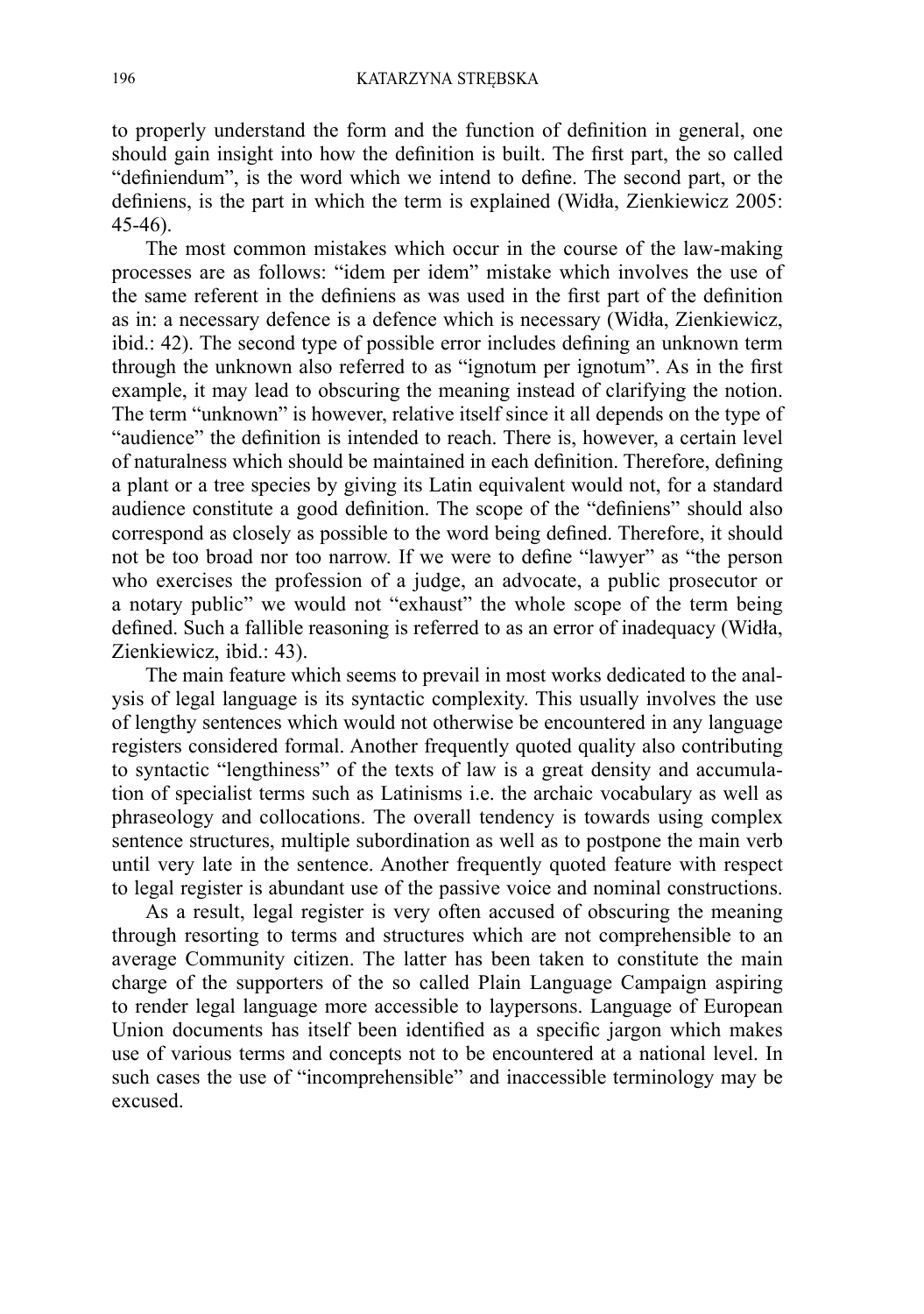to properly understand the form and the function of definition in general, one should gain insight into how the definition is built. The first part, the so called "definiendum", is the word which we intend to define. The second part, or the definiens, is the part in which the term is explained (Widła, Zienkiewicz 2005: 45-46).

The most common mistakes which occur in the course of the law-making processes are as follows: "idem per idem" mistake which involves the use of the same referent in the definiens as was used in the first part of the definition as in: a necessary defence is a defence which is necessary (Widła, Zienkiewicz, ibid.: 42). The second type of possible error includes defining an unknown term through the unknown also referred to as "ignotum per ignotum". As in the first example, it may lead to obscuring the meaning instead of clarifying the notion. The term "unknown" is however, relative itself since it all depends on the type of "audience" the definition is intended to reach. There is, however, a certain level of naturalness which should be maintained in each definition. Therefore, defining a plant or a tree species by giving its Latin equivalent would not, for a standard audience constitute a good definition. The scope of the "definiens" should also correspond as closely as possible to the word being defined. Therefore, it should not be too broad nor too narrow. If we were to define "lawyer" as "the person who exercises the profession of a judge, an advocate, a public prosecutor or a notary public" we would not "exhaust" the whole scope of the term being defined. Such a fallible reasoning is referred to as an error of inadequacy (Widła, Zienkiewicz, ibid.: 43).

The main feature which seems to prevail in most works dedicated to the analysis of legal language is its syntactic complexity. This usually involves the use of lengthy sentences which would not otherwise be encountered in any language registers considered formal. Another frequently quoted quality also contributing to syntactic "lengthiness" of the texts of law is a great density and accumulation of specialist terms such as Latinisms i.e. the archaic vocabulary as well as phraseology and collocations. The overall tendency is towards using complex sentence structures, multiple subordination as well as to postpone the main verb until very late in the sentence. Another frequently quoted feature with respect to legal register is abundant use of the passive voice and nominal constructions.

As a result, legal register is very often accused of obscuring the meaning through resorting to terms and structures which are not comprehensible to an average Community citizen. The latter has been taken to constitute the main charge of the supporters of the so called Plain Language Campaign aspiring to render legal language more accessible to laypersons. Language of European Union documents has itself been identified as a specific jargon which makes use of various terms and concepts not to be encountered at a national level. In such cases the use of "incomprehensible" and inaccessible terminology may be excused.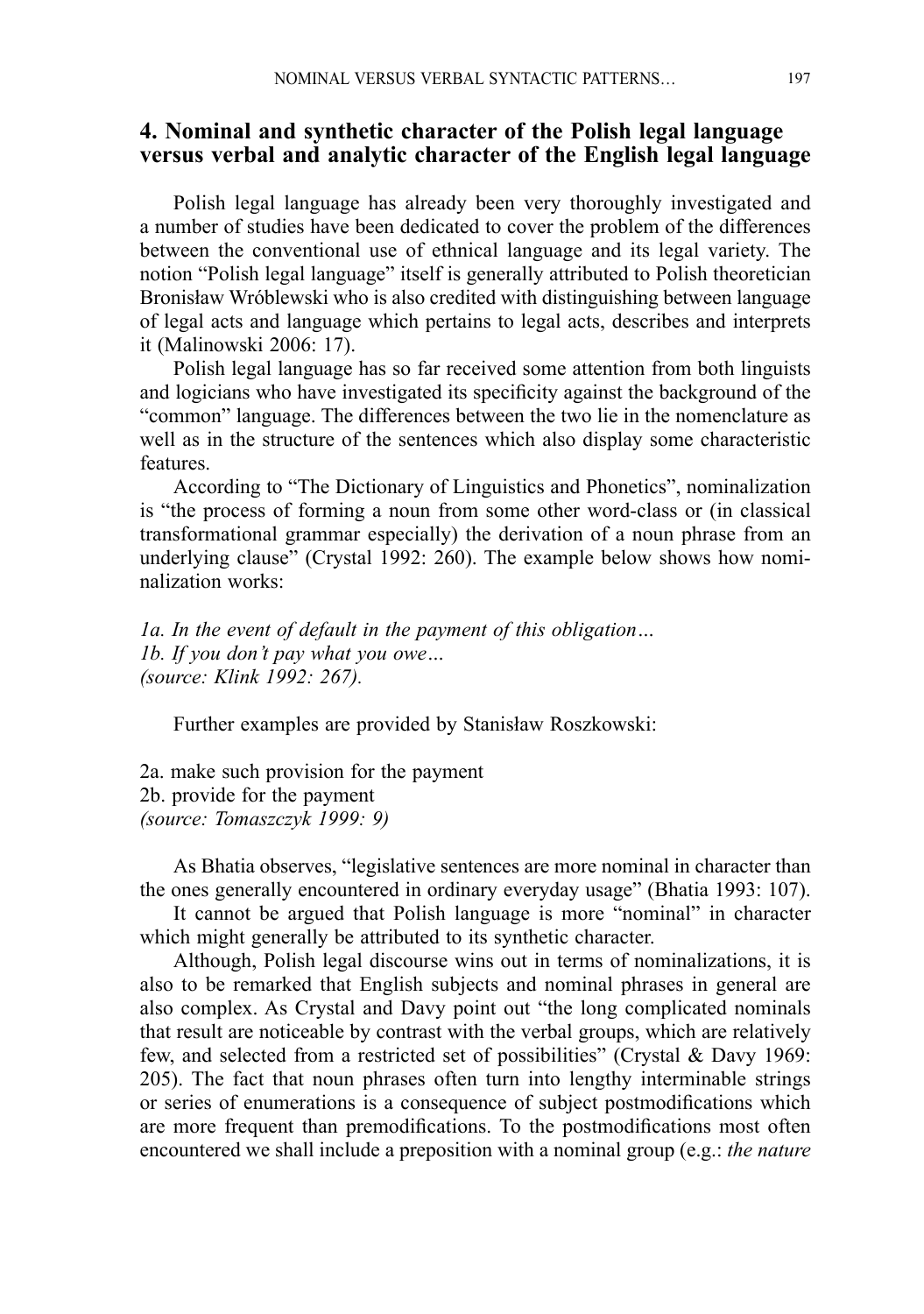# **4. Nominal and synthetic character of the Polish legal language versus verbal and analytic character of the English legal language**

Polish legal language has already been very thoroughly investigated and a number of studies have been dedicated to cover the problem of the differences between the conventional use of ethnical language and its legal variety. The notion "Polish legal language" itself is generally attributed to Polish theoretician Bronisław Wróblewski who is also credited with distinguishing between language of legal acts and language which pertains to legal acts, describes and interprets it (Malinowski 2006: 17).

Polish legal language has so far received some attention from both linguists and logicians who have investigated its specificity against the background of the "common" language. The differences between the two lie in the nomenclature as well as in the structure of the sentences which also display some characteristic features.

According to "The Dictionary of Linguistics and Phonetics", nominalization is "the process of forming a noun from some other word-class or (in classical transformational grammar especially) the derivation of a noun phrase from an underlying clause" (Crystal 1992: 260). The example below shows how nominalization works:

*1a. In the event of default in the payment of this obligation… 1b. If you don't pay what you owe… (source: Klink 1992: 267).*

Further examples are provided by Stanisław Roszkowski:

2a. make such provision for the payment 2b. provide for the payment *(source: Tomaszczyk 1999: 9)*

As Bhatia observes, "legislative sentences are more nominal in character than the ones generally encountered in ordinary everyday usage" (Bhatia 1993: 107).

It cannot be argued that Polish language is more "nominal" in character which might generally be attributed to its synthetic character.

Although, Polish legal discourse wins out in terms of nominalizations, it is also to be remarked that English subjects and nominal phrases in general are also complex. As Crystal and Davy point out "the long complicated nominals that result are noticeable by contrast with the verbal groups, which are relatively few, and selected from a restricted set of possibilities" (Crystal & Davy 1969: 205). The fact that noun phrases often turn into lengthy interminable strings or series of enumerations is a consequence of subject postmodifications which are more frequent than premodifications. To the postmodifications most often encountered we shall include a preposition with a nominal group (e.g.: *the nature*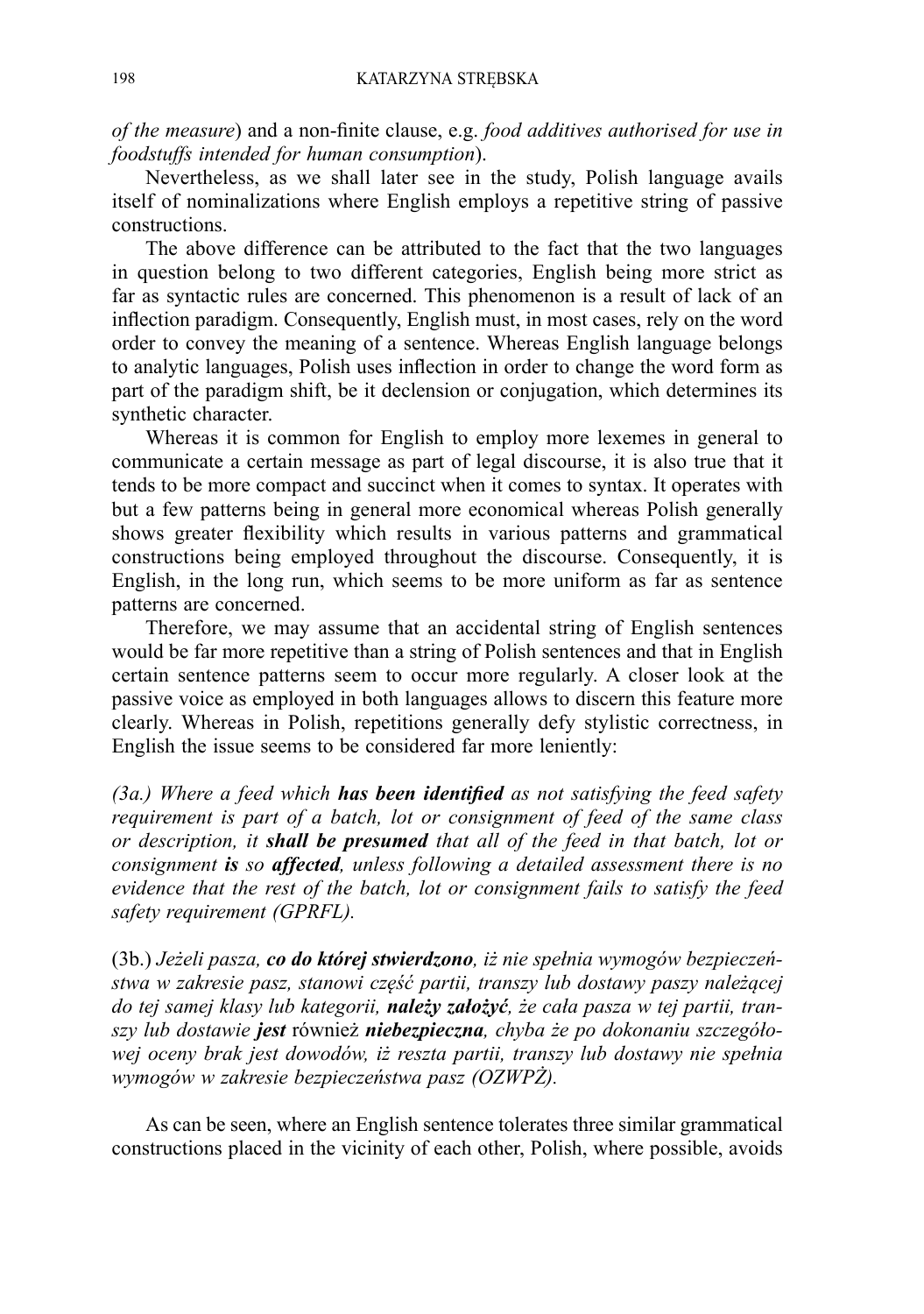*of the measure*) and a non-finite clause, e.g. *food additives authorised for use in foodstuffs intended for human consumption*).

Nevertheless, as we shall later see in the study, Polish language avails itself of nominalizations where English employs a repetitive string of passive constructions.

The above difference can be attributed to the fact that the two languages in question belong to two different categories, English being more strict as far as syntactic rules are concerned. This phenomenon is a result of lack of an inflection paradigm. Consequently, English must, in most cases, rely on the word order to convey the meaning of a sentence. Whereas English language belongs to analytic languages, Polish uses inflection in order to change the word form as part of the paradigm shift, be it declension or conjugation, which determines its synthetic character.

Whereas it is common for English to employ more lexemes in general to communicate a certain message as part of legal discourse, it is also true that it tends to be more compact and succinct when it comes to syntax. It operates with but a few patterns being in general more economical whereas Polish generally shows greater flexibility which results in various patterns and grammatical constructions being employed throughout the discourse. Consequently, it is English, in the long run, which seems to be more uniform as far as sentence patterns are concerned.

Therefore, we may assume that an accidental string of English sentences would be far more repetitive than a string of Polish sentences and that in English certain sentence patterns seem to occur more regularly. A closer look at the passive voice as employed in both languages allows to discern this feature more clearly. Whereas in Polish, repetitions generally defy stylistic correctness, in English the issue seems to be considered far more leniently:

*(3a.) Where a feed which has been identified as not satisfying the feed safety requirement is part of a batch, lot or consignment of feed of the same class or description, it shall be presumed that all of the feed in that batch, lot or consignment is so affected, unless following a detailed assessment there is no evidence that the rest of the batch, lot or consignment fails to satisfy the feed safety requirement (GPRFL).*

(3b.) *Jeżeli pasza, co do której stwierdzono, iż nie spełnia wymogów bezpieczeństwa w zakresie pasz, stanowi część partii, transzy lub dostawy paszy należącej do tej samej klasy lub kategorii, należy założyć, że cała pasza w tej partii, transzy lub dostawie jest* również *niebezpieczna, chyba że po dokonaniu szczegółowej oceny brak jest dowodów, iż reszta partii, transzy lub dostawy nie spełnia wymogów w zakresie bezpieczeństwa pasz (OZWPŻ).*

As can be seen, where an English sentence tolerates three similar grammatical constructions placed in the vicinity of each other, Polish, where possible, avoids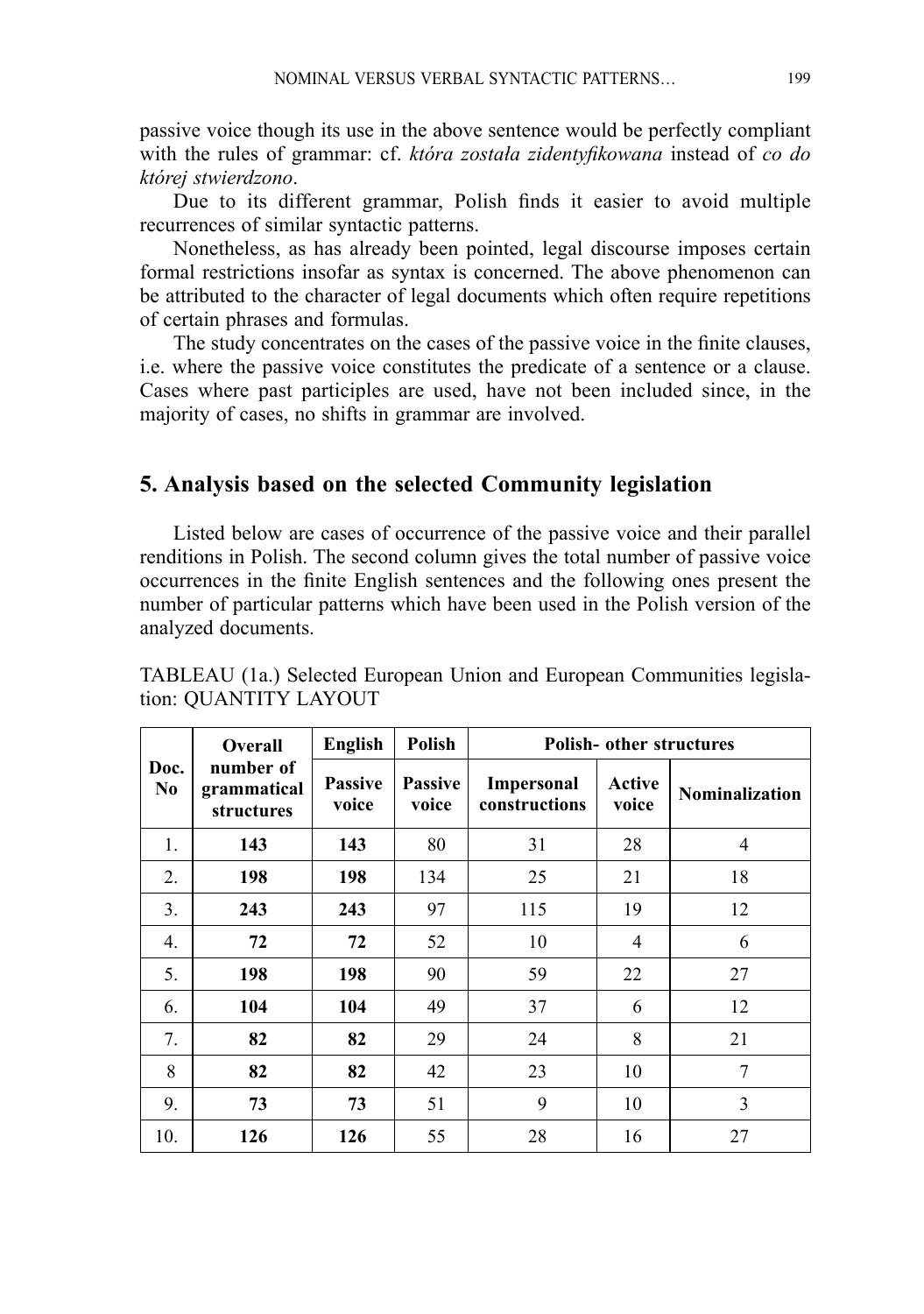passive voice though its use in the above sentence would be perfectly compliant with the rules of grammar: cf. *która została zidentyfikowana* instead of *co do której stwierdzono*.

Due to its different grammar, Polish finds it easier to avoid multiple recurrences of similar syntactic patterns.

Nonetheless, as has already been pointed, legal discourse imposes certain formal restrictions insofar as syntax is concerned. The above phenomenon can be attributed to the character of legal documents which often require repetitions of certain phrases and formulas.

The study concentrates on the cases of the passive voice in the finite clauses, i.e. where the passive voice constitutes the predicate of a sentence or a clause. Cases where past participles are used, have not been included since, in the majority of cases, no shifts in grammar are involved.

#### **5. Analysis based on the selected Community legislation**

Listed below are cases of occurrence of the passive voice and their parallel renditions in Polish. The second column gives the total number of passive voice occurrences in the finite English sentences and the following ones present the number of particular patterns which have been used in the Polish version of the analyzed documents.

|                        | Overall<br>number of<br>grammatical<br>structures | English                 | <b>Polish</b>           | <b>Polish-</b> other structures    |                 |                       |
|------------------------|---------------------------------------------------|-------------------------|-------------------------|------------------------------------|-----------------|-----------------------|
| Doc.<br>N <sub>0</sub> |                                                   | <b>Passive</b><br>voice | <b>Passive</b><br>voice | <b>Impersonal</b><br>constructions | Active<br>voice | <b>Nominalization</b> |
| 1.                     | 143                                               | 143                     | 80                      | 31                                 | 28              | 4                     |
| 2.                     | 198                                               | 198                     | 134                     | 25                                 | 21              | 18                    |
| 3.                     | 243                                               | 243                     | 97                      | 115                                | 19              | 12                    |
| $\overline{4}$ .       | 72                                                | 72                      | 52                      | 10                                 | $\overline{4}$  | 6                     |
| 5.                     | 198                                               | 198                     | 90                      | 59                                 | 22              | 27                    |
| 6.                     | 104                                               | 104                     | 49                      | 37                                 | 6               | 12                    |
| 7.                     | 82                                                | 82                      | 29                      | 24                                 | 8               | 21                    |
| 8                      | 82                                                | 82                      | 42                      | 23                                 | 10              | 7                     |
| 9.                     | 73                                                | 73                      | 51                      | 9                                  | 10              | 3                     |
| 10.                    | 126                                               | 126                     | 55                      | 28                                 | 16              | 27                    |

TABLEAU (1a.) Selected European Union and European Communities legislation: QUANTITY LAYOUT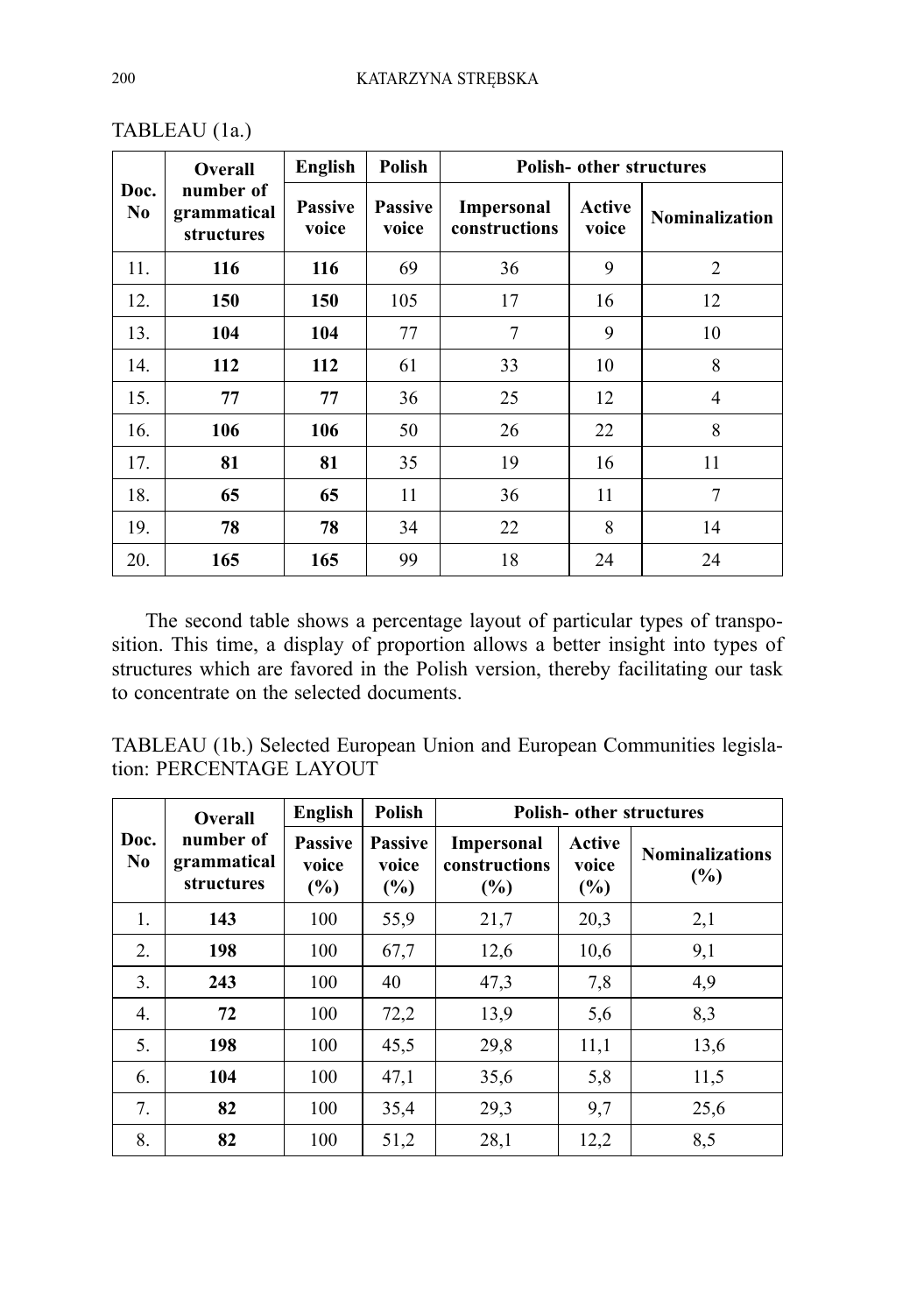| Doc.<br>No | <b>Overall</b><br>number of<br>grammatical<br>structures | English                 | <b>Polish</b>           | <b>Polish-</b> other structures    |                 |                       |
|------------|----------------------------------------------------------|-------------------------|-------------------------|------------------------------------|-----------------|-----------------------|
|            |                                                          | <b>Passive</b><br>voice | <b>Passive</b><br>voice | <b>Impersonal</b><br>constructions | Active<br>voice | <b>Nominalization</b> |
| 11.        | 116                                                      | 116                     | 69                      | 36                                 | 9               | $\overline{2}$        |
| 12.        | 150                                                      | 150                     | 105                     | 17                                 | 16              | 12                    |
| 13.        | 104                                                      | 104                     | 77                      | 7                                  | 9               | 10                    |
| 14.        | 112                                                      | 112                     | 61                      | 33                                 | 10              | 8                     |
| 15.        | 77                                                       | 77                      | 36                      | 25                                 | 12              | 4                     |
| 16.        | 106                                                      | 106                     | 50                      | 26                                 | 22              | 8                     |
| 17.        | 81                                                       | 81                      | 35                      | 19                                 | 16              | 11                    |
| 18.        | 65                                                       | 65                      | 11                      | 36                                 | 11              | 7                     |
| 19.        | 78                                                       | 78                      | 34                      | 22                                 | 8               | 14                    |
| 20.        | 165                                                      | 165                     | 99                      | 18                                 | 24              | 24                    |

TABLEAU (1a.)

The second table shows a percentage layout of particular types of transposition. This time, a display of proportion allows a better insight into types of structures which are favored in the Polish version, thereby facilitating our task to concentrate on the selected documents.

TABLEAU (1b.) Selected European Union and European Communities legislation: PERCENTAGE LAYOUT

|                        | <b>Overall</b><br>number of<br>grammatical<br>structures | English                        | <b>Polish</b>                     | <b>Polish- other structures</b>              |                        |                               |
|------------------------|----------------------------------------------------------|--------------------------------|-----------------------------------|----------------------------------------------|------------------------|-------------------------------|
| Doc.<br>N <sub>0</sub> |                                                          | <b>Passive</b><br>voice<br>(%) | <b>Passive</b><br>voice<br>$(\%)$ | <b>Impersonal</b><br>constructions<br>$(\%)$ | Active<br>voice<br>(%) | <b>Nominalizations</b><br>(%) |
| $\mathbf{1}$ .         | 143                                                      | 100                            | 55,9                              | 21,7                                         | 20,3                   | 2,1                           |
| 2.                     | 198                                                      | 100                            | 67,7                              | 12,6                                         | 10.6                   | 9,1                           |
| 3.                     | 243                                                      | 100                            | 40                                | 47,3                                         | 7,8                    | 4,9                           |
| $\overline{4}$ .       | 72                                                       | 100                            | 72,2                              | 13,9                                         | 5,6                    | 8,3                           |
| 5.                     | 198                                                      | 100                            | 45,5                              | 29,8                                         | 11,1                   | 13,6                          |
| 6.                     | 104                                                      | 100                            | 47,1                              | 35,6                                         | 5,8                    | 11,5                          |
| 7.                     | 82                                                       | 100                            | 35,4                              | 29,3                                         | 9,7                    | 25,6                          |
| 8.                     | 82                                                       | 100                            | 51,2                              | 28,1                                         | 12,2                   | 8,5                           |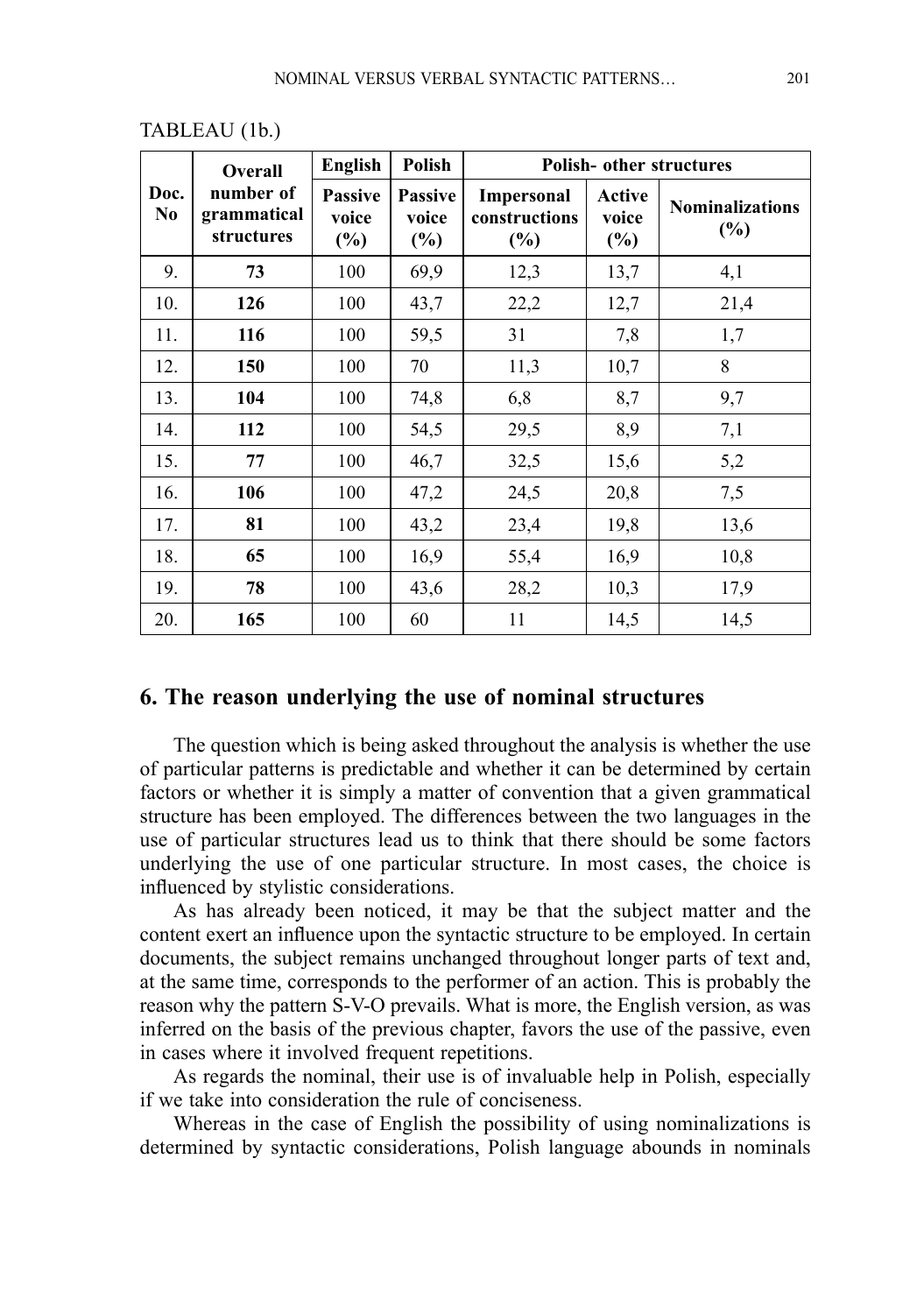|                        | <b>Overall</b><br>number of<br>grammatical<br>structures | English                           | <b>Polish</b>                     | Polish- other structures                  |                           |                                  |
|------------------------|----------------------------------------------------------|-----------------------------------|-----------------------------------|-------------------------------------------|---------------------------|----------------------------------|
| Doc.<br>N <sub>0</sub> |                                                          | <b>Passive</b><br>voice<br>$(\%)$ | <b>Passive</b><br>voice<br>$(\%)$ | <b>Impersonal</b><br>constructions<br>(%) | Active<br>voice<br>$(\%)$ | <b>Nominalizations</b><br>$(\%)$ |
| 9.                     | 73                                                       | 100                               | 69,9                              | 12,3                                      | 13,7                      | 4,1                              |
| 10.                    | 126                                                      | 100                               | 43,7                              | 22,2                                      | 12,7                      | 21,4                             |
| 11.                    | 116                                                      | 100                               | 59,5                              | 31                                        | 7,8                       | 1,7                              |
| 12.                    | 150                                                      | 100                               | 70                                | 11,3                                      | 10,7                      | 8                                |
| 13.                    | 104                                                      | 100                               | 74,8                              | 6,8                                       | 8,7                       | 9,7                              |
| 14.                    | 112                                                      | 100                               | 54,5                              | 29,5                                      | 8,9                       | 7,1                              |
| 15.                    | 77                                                       | 100                               | 46,7                              | 32,5                                      | 15,6                      | 5,2                              |
| 16.                    | 106                                                      | 100                               | 47,2                              | 24,5                                      | 20,8                      | 7,5                              |
| 17.                    | 81                                                       | 100                               | 43,2                              | 23,4                                      | 19,8                      | 13,6                             |
| 18.                    | 65                                                       | 100                               | 16.9                              | 55,4                                      | 16.9                      | 10,8                             |
| 19.                    | 78                                                       | 100                               | 43,6                              | 28,2                                      | 10,3                      | 17,9                             |
| 20.                    | 165                                                      | 100                               | 60                                | 11                                        | 14,5                      | 14,5                             |

#### TABLEAU (1b.)

#### **6. The reason underlying the use of nominal structures**

The question which is being asked throughout the analysis is whether the use of particular patterns is predictable and whether it can be determined by certain factors or whether it is simply a matter of convention that a given grammatical structure has been employed. The differences between the two languages in the use of particular structures lead us to think that there should be some factors underlying the use of one particular structure. In most cases, the choice is influenced by stylistic considerations.

As has already been noticed, it may be that the subject matter and the content exert an influence upon the syntactic structure to be employed. In certain documents, the subject remains unchanged throughout longer parts of text and, at the same time, corresponds to the performer of an action. This is probably the reason why the pattern S-V-O prevails. What is more, the English version, as was inferred on the basis of the previous chapter, favors the use of the passive, even in cases where it involved frequent repetitions.

As regards the nominal, their use is of invaluable help in Polish, especially if we take into consideration the rule of conciseness.

Whereas in the case of English the possibility of using nominalizations is determined by syntactic considerations, Polish language abounds in nominals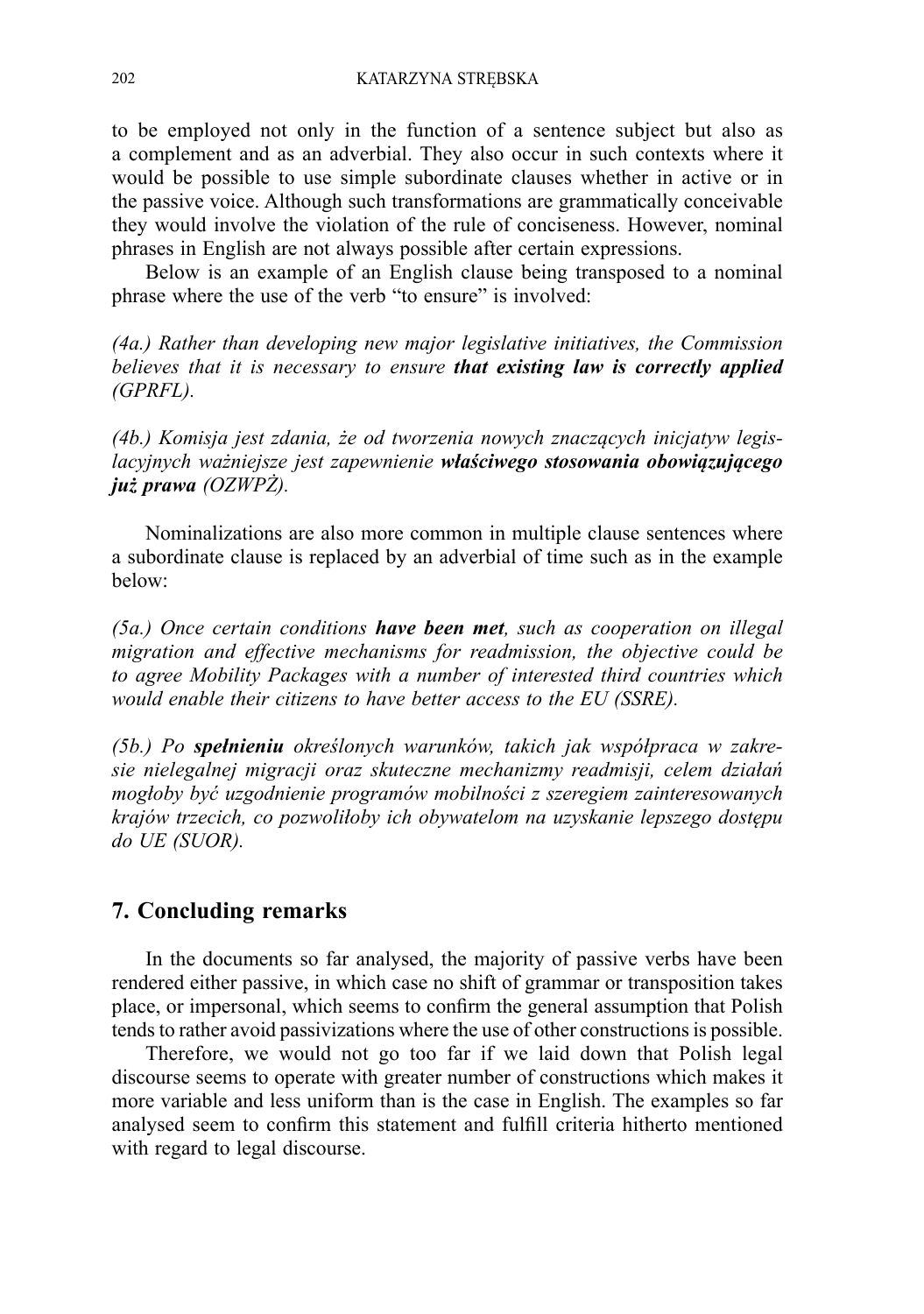to be employed not only in the function of a sentence subject but also as a complement and as an adverbial. They also occur in such contexts where it would be possible to use simple subordinate clauses whether in active or in the passive voice. Although such transformations are grammatically conceivable they would involve the violation of the rule of conciseness. However, nominal phrases in English are not always possible after certain expressions.

Below is an example of an English clause being transposed to a nominal phrase where the use of the verb "to ensure" is involved:

*(4a.) Rather than developing new major legislative initiatives, the Commission believes that it is necessary to ensure that existing law is correctly applied (GPRFL).*

*(4b.) Komisja jest zdania, że od tworzenia nowych znaczących inicjatyw legislacyjnych ważniejsze jest zapewnienie właściwego stosowania obowiązującego już prawa (OZWPŻ).*

Nominalizations are also more common in multiple clause sentences where a subordinate clause is replaced by an adverbial of time such as in the example below:

*(5a.) Once certain conditions have been met, such as cooperation on illegal migration and effective mechanisms for readmission, the objective could be to agree Mobility Packages with a number of interested third countries which would enable their citizens to have better access to the EU (SSRE).*

*(5b.) Po spełnieniu określonych warunków, takich jak współpraca w zakresie nielegalnej migracji oraz skuteczne mechanizmy readmisji, celem działań mogłoby być uzgodnienie programów mobilności z szeregiem zainteresowanych krajów trzecich, co pozwoliłoby ich obywatelom na uzyskanie lepszego dostępu do UE (SUOR).*

## **7. Concluding remarks**

In the documents so far analysed, the majority of passive verbs have been rendered either passive, in which case no shift of grammar or transposition takes place, or impersonal, which seems to confirm the general assumption that Polish tends to rather avoid passivizations where the use of other constructions is possible.

Therefore, we would not go too far if we laid down that Polish legal discourse seems to operate with greater number of constructions which makes it more variable and less uniform than is the case in English. The examples so far analysed seem to confirm this statement and fulfill criteria hitherto mentioned with regard to legal discourse.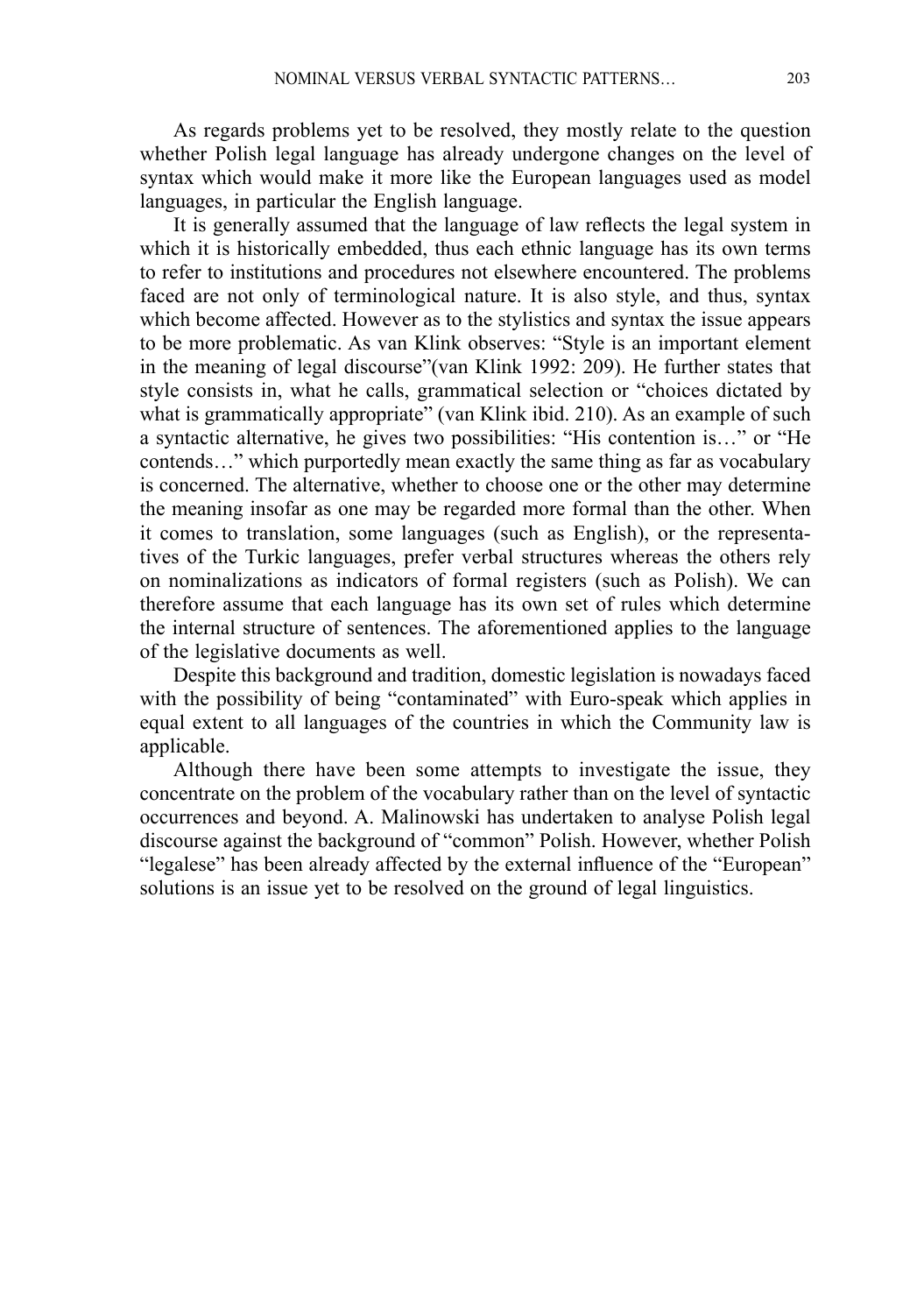As regards problems yet to be resolved, they mostly relate to the question whether Polish legal language has already undergone changes on the level of syntax which would make it more like the European languages used as model languages, in particular the English language.

It is generally assumed that the language of law reflects the legal system in which it is historically embedded, thus each ethnic language has its own terms to refer to institutions and procedures not elsewhere encountered. The problems faced are not only of terminological nature. It is also style, and thus, syntax which become affected. However as to the stylistics and syntax the issue appears to be more problematic. As van Klink observes: "Style is an important element in the meaning of legal discourse"(van Klink 1992: 209). He further states that style consists in, what he calls, grammatical selection or "choices dictated by what is grammatically appropriate" (van Klink ibid. 210). As an example of such a syntactic alternative, he gives two possibilities: "His contention is…" or "He contends…" which purportedly mean exactly the same thing as far as vocabulary is concerned. The alternative, whether to choose one or the other may determine the meaning insofar as one may be regarded more formal than the other. When it comes to translation, some languages (such as English), or the representatives of the Turkic languages, prefer verbal structures whereas the others rely on nominalizations as indicators of formal registers (such as Polish). We can therefore assume that each language has its own set of rules which determine the internal structure of sentences. The aforementioned applies to the language of the legislative documents as well.

Despite this background and tradition, domestic legislation is nowadays faced with the possibility of being "contaminated" with Euro-speak which applies in equal extent to all languages of the countries in which the Community law is applicable.

Although there have been some attempts to investigate the issue, they concentrate on the problem of the vocabulary rather than on the level of syntactic occurrences and beyond. A. Malinowski has undertaken to analyse Polish legal discourse against the background of "common" Polish. However, whether Polish "legalese" has been already affected by the external influence of the "European" solutions is an issue yet to be resolved on the ground of legal linguistics.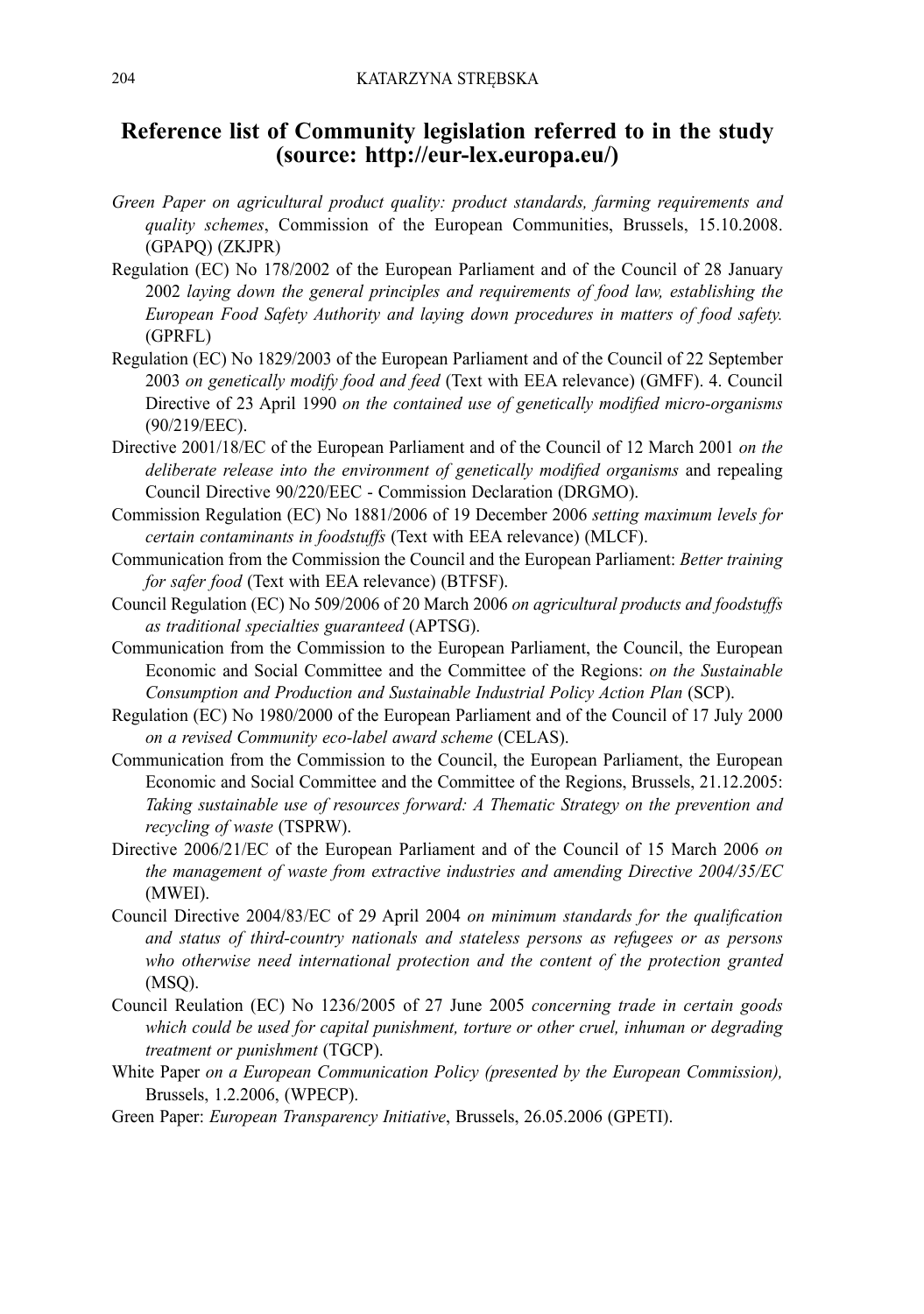# **Reference list of Community legislation referred to in the study (source: http://eur-lex.europa.eu/)**

- *Green Paper on agricultural product quality: product standards, farming requirements and quality schemes*, Commission of the European Communities, Brussels, 15.10.2008. (GPAPQ) (ZKJPR)
- Regulation (EC) No 178/2002 of the European Parliament and of the Council of 28 January 2002 *laying down the general principles and requirements of food law, establishing the European Food Safety Authority and laying down procedures in matters of food safety.* (GPRFL)
- Regulation (EC) No 1829/2003 of the European Parliament and of the Council of 22 September 2003 *on genetically modify food and feed* (Text with EEA relevance) (GMFF). 4. Council Directive of 23 April 1990 *on the contained use of genetically modified micro-organisms* (90/219/EEC).
- Directive 2001/18/EC of the European Parliament and of the Council of 12 March 2001 *on the deliberate release into the environment of genetically modified organisms* and repealing Council Directive 90/220/EEC - Commission Declaration (DRGMO).
- Commission Regulation (EC) No 1881/2006 of 19 December 2006 *setting maximum levels for certain contaminants in foodstuffs* (Text with EEA relevance) (MLCF).
- Communication from the Commission the Council and the European Parliament: *Better training for safer food* (Text with EEA relevance) (BTFSF).
- Council Regulation (EC) No 509/2006 of 20 March 2006 *on agricultural products and foodstuffs as traditional specialties guaranteed* (APTSG).
- Communication from the Commission to the European Parliament, the Council, the European Economic and Social Committee and the Committee of the Regions: *on the Sustainable Consumption and Production and Sustainable Industrial Policy Action Plan* (SCP).
- Regulation (EC) No 1980/2000 of the European Parliament and of the Council of 17 July 2000 *on a revised Community eco-label award scheme* (CELAS).
- Communication from the Commission to the Council, the European Parliament, the European Economic and Social Committee and the Committee of the Regions, Brussels, 21.12.2005: *Taking sustainable use of resources forward: A Thematic Strategy on the prevention and recycling of waste* (TSPRW).
- Directive 2006/21/EC of the European Parliament and of the Council of 15 March 2006 *on the management of waste from extractive industries and amending Directive 2004/35/EC* (MWEI).
- Council Directive 2004/83/EC of 29 April 2004 *on minimum standards for the qualification and status of third-country nationals and stateless persons as refugees or as persons who otherwise need international protection and the content of the protection granted* (MSQ).
- Council Reulation (EC) No 1236/2005 of 27 June 2005 *concerning trade in certain goods which could be used for capital punishment, torture or other cruel, inhuman or degrading treatment or punishment* (TGCP).
- White Paper *on a European Communication Policy (presented by the European Commission),*  Brussels, 1.2.2006, (WPECP).
- Green Paper: *European Transparency Initiative*, Brussels, 26.05.2006 (GPETI).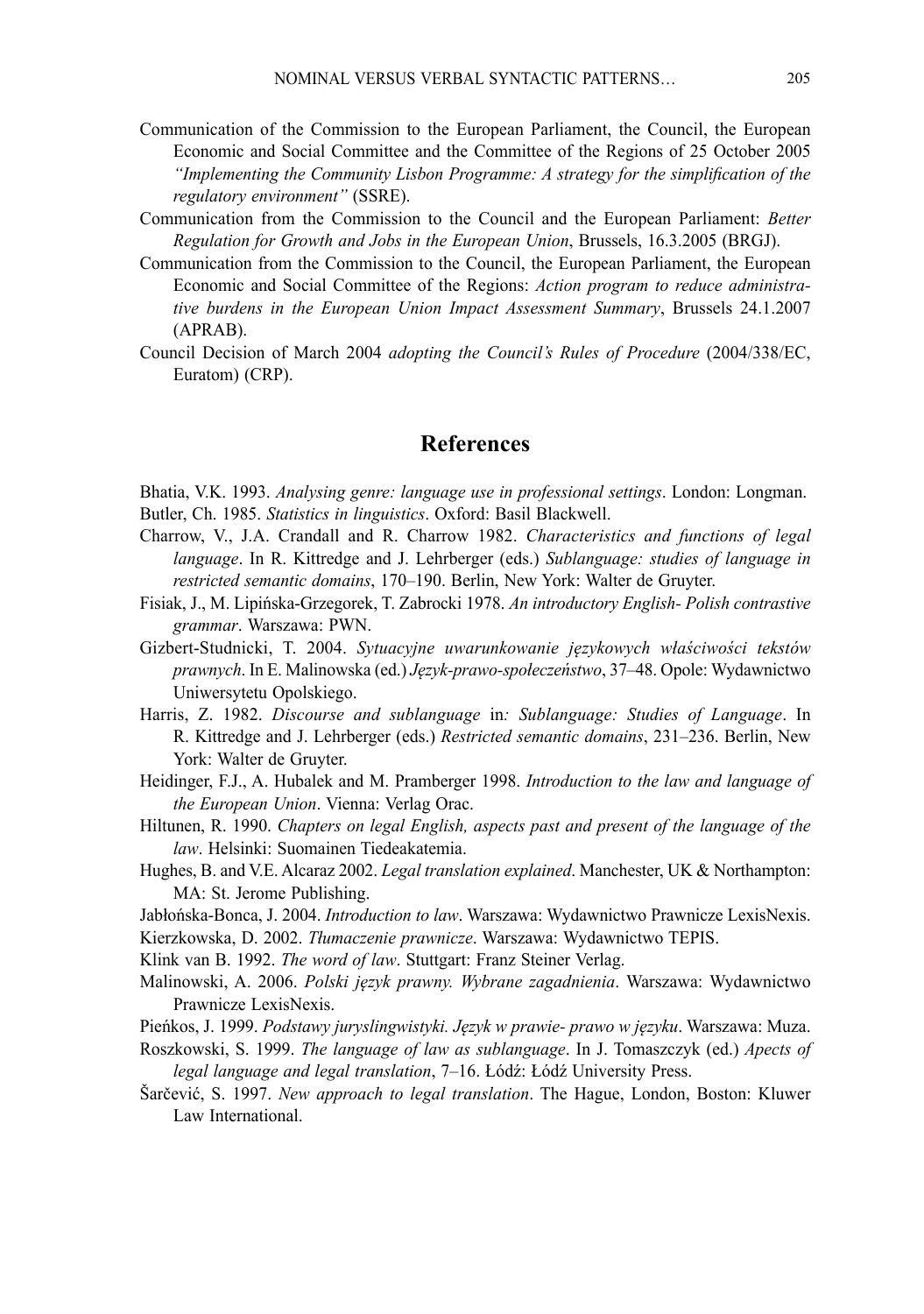- Communication of the Commission to the European Parliament, the Council, the European Economic and Social Committee and the Committee of the Regions of 25 October 2005 *"Implementing the Community Lisbon Programme: A strategy for the simplification of the regulatory environment"* (SSRE).
- Communication from the Commission to the Council and the European Parliament: *Better Regulation for Growth and Jobs in the European Union*, Brussels, 16.3.2005 (BRGJ).
- Communication from the Commission to the Council, the European Parliament, the European Economic and Social Committee of the Regions: *Action program to reduce administrative burdens in the European Union Impact Assessment Summary*, Brussels 24.1.2007 (APRAB).
- Council Decision of March 2004 *adopting the Council's Rules of Procedure* (2004/338/EC, Euratom) (CRP).

# **References**

Bhatia, V.K. 1993. *Analysing genre: language use in professional settings*. London: Longman. Butler, Ch. 1985. *Statistics in linguistics*. Oxford: Basil Blackwell.

- Charrow, V., J.A. Crandall and R. Charrow 1982. *Characteristics and functions of legal language*. In R. Kittredge and J. Lehrberger (eds.) *Sublanguage: studies of language in restricted semantic domains*, 170–190. Berlin, New York: Walter de Gruyter.
- Fisiak, J., M. Lipińska-Grzegorek, T. Zabrocki 1978. *An introductory English- Polish contrastive grammar*. Warszawa: PWN.
- Gizbert-Studnicki, T. 2004. *Sytuacyjne uwarunkowanie językowych właściwości tekstów prawnych*. In E. Malinowska (ed.) *Język-prawo-społeczeństwo*, 37–48. Opole: Wydawnictwo Uniwersytetu Opolskiego.
- Harris, Z. 1982. *Discourse and sublanguage* in: Sublanguage: Studies of Language. In R. Kittredge and J. Lehrberger (eds.) *Restricted semantic domains*, 231–236. Berlin, New York: Walter de Gruyter.
- Heidinger, F.J., A. Hubalek and M. Pramberger 1998. *Introduction to the law and language of the European Union*. Vienna: Verlag Orac.
- Hiltunen, R. 1990. *Chapters on legal English, aspects past and present of the language of the law*. Helsinki: Suomainen Tiedeakatemia.
- Hughes, B. and V.E. Alcaraz 2002. *Legal translation explained*. Manchester, UK & Northampton: MA: St. Jerome Publishing.
- Jabłońska-Bonca, J. 2004. *Introduction to law*. Warszawa: Wydawnictwo Prawnicze LexisNexis.
- Kierzkowska, D. 2002. *Tłumaczenie prawnicze*. Warszawa: Wydawnictwo TEPIS.
- Klink van B. 1992. *The word of law*. Stuttgart: Franz Steiner Verlag.
- Malinowski, A. 2006. *Polski język prawny. Wybrane zagadnienia*. Warszawa: Wydawnictwo Prawnicze LexisNexis.
- Pieńkos, J. 1999. *Podstawy juryslingwistyki. Język w prawie- prawo w języku*. Warszawa: Muza.
- Roszkowski, S. 1999. *The language of law as sublanguage*. In J. Tomaszczyk (ed.) *Apects of legal language and legal translation*, 7–16. Łódź: Łódź University Press.
- Šarčević, S. 1997. *New approach to legal translation*. The Hague, London, Boston: Kluwer Law International.